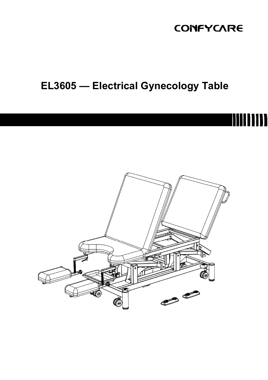## **CONFYCARE**

# EL3605 — Electrical Gynecology Table

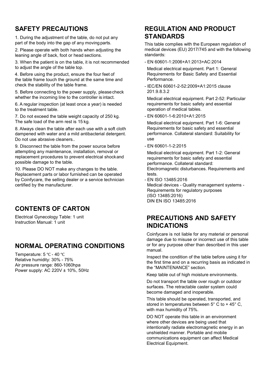## SAFETY PRECAUTIONS

1. During the adjustment of the table, do not put any part of the body into the gap of any moving parts.

2. Please operate with both hands when adjusting the leaning angle of back, foot or head sections.

3. When the patient is on the table, it is not recommended to adjust the angle of the table top.

4. Before using the product, ensure the four feet of the table frame touch the ground at the same time and check the stability of the table frame.

5. Before connecting to the power supply, please check whether the incoming line to the controller is intact.

6. A regular inspection (at least once a year) is needed to the treatment table.

7. Do not exceed the table weight capacity of 250 kg. The safe load of the arm rest is 15 kg.

8. Always clean the table after each use with a soft cloth dampened with water and a mild antibacterial detergent. Do not use abrasive cleaners.

9. Disconnect the table from the power source before attempting any maintenance, installation, removal or replacement procedures to prevent electrical shock and possible damage to the table.

10. Please DO NOT make any changes to the table. Replacement parts or labor furnished can be operated by Coinfycare, the selling dealer or a service technician certified by the manufacturer.

## CONTENTS OF CARTON

Electrical Gynecology Table: 1 unit Instruction Manual: 1 unit

## NORMAL OPERATING CONDITIONS

Temperature: 5 ℃ - 40 ℃ Relative humidity: 30% - 75% Air pressure range: 860-1060hpa Power supply: AC 220V ± 10%, 50Hz

## REGULATION AND PRODUCT **STANDARDS**

This table complies with the European regulation of medical devices (EU) 2017/745 and with the following standards:

- EN 60601-1:2006+A1:2013+AC:2014

Medical electrical equipment. Part 1: General Requirements for Basic Safety and Essential Performance.

- IEC/EN 60601-2-52:2009+A1:2015 clause 201.9.8.3.2

Medical electrical equipment. Part 2-52: Particular requirements for basic safety and essential operation of medical tables.

- EN 60601-1-6:2010+A1:2015

Medical electrical equipment. Part 1-6: General Requirements for basic safety and essential performance. Collateral standard: Suitability for use

- EN 60601-1-2:2015

Medical electrical equipment. Part 1-2: General requirements for basic safety and essential performance. Collateral standard: Electromagnetic disturbances. Requirements and tests.

- EN ISO 13485:2016 Medical devices - Quality management systems - Requirements for regulatory purposes (ISO 13485:2016) DIN EN ISO 13485:2016

## PRECAUTIONS AND SAFETY INDICATIONS

Coinfycare is not liable for any material or personal damage due to misuse or incorrect use of this table or for any purpose other than described in this user manual.

Inspect the condition of the table before using it for the first time and on a recurring basis as indicated in the "MAINTENANCE" section.

Keep table out of high moisture environments.

Do not transport the table over rough or outdoor surfaces. The retractable caster system could become damaged and inoperable.

This table should be operated, transported, and stored in temperatures between  $5^{\circ}$  C to + 45° C. with max humidity of 75%.

DO NOT operate this table in an environment where other devices are being used that intentionally radiate electromagnetic energy in an unshielded manner. Portable and mobile communications equipment can affect Medical Electrical Equipment.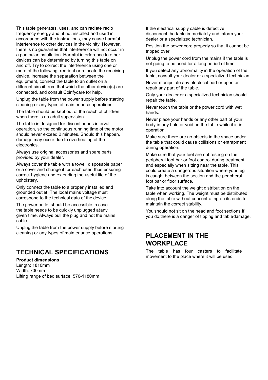This table generates, uses, and can radiate radio frequency energy and, if not installed and used in accordance with the instructions, may cause harmful interference to other devices in the vicinity. However, there is no guarantee that interference will not occur in a particular installation. Harmful interference to other devices can be determined by turning this table on and off. Try to correct the interference using one or more of the following: reorient or relocate the receiving device, increase the separation between the equipment, connect the table to an outlet on a different circuit from that which the other device(s) are connected, and consult Coinfycare for help.

Unplug the table from the power supply before starting cleaning or any types of maintenance operations.

The table should be kept out of the reach of children when there is no adult supervision.

The table is designed for discontinuous interval operation, so the continuous running time of the motor should never exceed 2 minutes. Should this happen, damage may occur due to overheating of the electronics.

Always use original accessories and spare parts provided by your dealer.

Always cover the table with a towel, disposable paper or a cover and change it for each user, thus ensuring correct hygiene and extending the useful life of the upholstery.

Only connect the table to a properly installed and grounded outlet. The local mains voltage must correspond to the technical data of the device.

The power outlet should be accessible in case the table needs to be quickly unplugged at any given time. Always pull the plug and not the mains cable.

Unplug the table from the power supply before starting cleaning or any types of maintenance operations.

## TECHNICAL SPECIFICATIONS

Product dimensions Length: 1810mm Width: 700mm Lifting range of bed surface: 570-1180mm If the electrical supply cable is defective, disconnect the table immediately and inform your dealer or a specialized technician.

Position the power cord properly so that it cannot be tripped over.

Unplug the power cord from the mains if the table is not going to be used for a long period of time.

If you detect any abnormality in the operation of the table, consult your dealer or a specialized technician.

Never manipulate any electrical part or open or repair any part of the table.

Only your dealer or a specialized technician should repair the table.

Never touch the table or the power cord with wet hands.

Never place your hands or any other part of your body in any hole or void on the table while it is in operation.

Make sure there are no objects in the space under the table that could cause collisions or entrapment during operation.

Make sure that your feet are not resting on the peripheral foot bar or foot control during treatment and especially when sitting near the table. This could create a dangerous situation where your leg is caught between the section and the peripheral foot bar or floor surface.

Take into account the weight distribution on the table when working. The weight must be distributed along the table without concentrating on its ends to maintain the correct stability.

You should not sit on the head and foot sections.If you do,there is a danger of tipping and table damage.

## PLACEMENT IN THE **WORKPLACE**

The table has four casters to facilitate movement to the place where it will be used.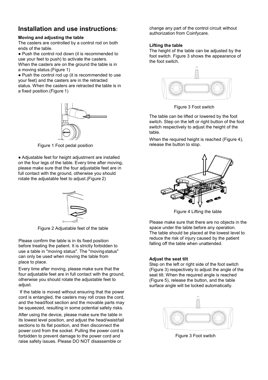## Installation and use instructions:

#### Moving and adjusting the table

The casters are controlled by a control rod on both ends of the table.

● Push the control rod down (it is recommended to use your feet to push) to activate the casters. When the casters are on the ground the table is in a moving status.(Figure 1)

● Push the control rod up (it is recommended to use your feet) and the casters are in the retracted status. When the casters are retracted the table is in a fixed position.(Figure 1)



Figure 1 Foot pedal position

● Adjustable feet for height adjustment are installed on the four legs of the table. Every time after moving, please make sure that the four adjustable feet are in full contact with the ground, otherwise you should rotate the adjustable feet to adjust.(Figure 2)



Figure 2 Adjustable feet of the table

Please confirm the table is in its fixed position before treating the patient. It is strictly forbidden to use a table in "moving status". The "moving status" can only be used when moving the table from place to place.

Every time after moving, please make sure that the four adjustable feet are in full contact with the ground, otherwise you should rotate the adjustable feet to adiust.

If the table is moved without ensuring that the power cord is entangled, the casters may roll cross the cord, and the head/foot section and the movable parts may be squeezed, resulting in some potential safety risks.

After using the device, please make sure the table in its lowest level position, and adjust the head/waist/tail sections to its flat position, and then disconnect the power cord from the socket. Pulling the power cord is forbidden to prevent damage to the power cord and raise safety issues. Please DO NOT disassemble or

change any part of the control circuit without authorization from Coinfycare.

#### Lifting the table

The height of the table can be adjusted by the foot switch. Figure 3 shows the appearance of the foot switch.



Figure 3 Foot switch

The table can be lifted or lowered by the foot switch. Step on the left or right button of the foot switch respectively to adjust the height of the table.

When the required height is reached (Figure 4). release the button to stop.



Figure 4 Lifting the table

Please make sure that there are no objects in the space under the table before any operation. The table should be placed at the lowest level to reduce the risk of injury caused by the patient falling off the table when unattended.

#### Adjust the seat tilt

Step on the left or right side of the foot switch (Figure 3) respectively to adjust the angle of the seat tilt. When the required angle is reached (Figure 5), release the button, and the table surface angle will be locked automatically.



Figure 3 Foot switch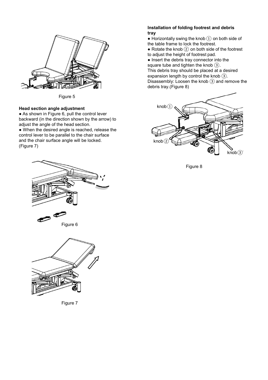

Figure 5

### Head section angle adjustment

● As shown in Figure 6, pull the control lever backward (in the direction shown by the arrow) to adjust the angle of the head section.

● When the desired angle is reached, release the control lever to be parallel to the chair surface and the chair surface angle will be locked. (Figure 7)

#### Installation of folding footrest and debris tray

 $\bullet$  Horizontally swing the knob  $\widehat{1}$  on both side of the table frame to lock the footrest.

• Rotate the knob  $(2)$  on both side of the footrest to adjust the height of footrest pad.

● Insert the debris tray connector into the square tube and tighten the knob ③. This debris tray should be placed at a desired expansion length by control the knob  $(3)$ . Disassembly: Loosen the knob ③ and remove the debris tray.(Figure 8)



Figure 8





Figure 7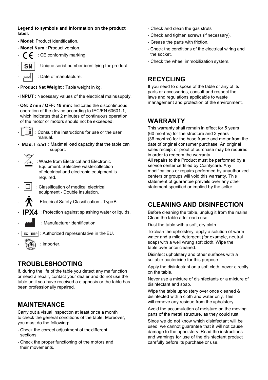Legend to symbols and information on the product label.

- Model: Product identification.
- Model Num.: Product version.

: CE conformity marking.

SN : Unique serial number identifying the product.

: Date of manufacture.

- Product Net Weight : Table weight in kg.
- INPUT : Necessary values of the electrical mains supply.
- ON: 2 min / OFF: 18 min: Indicates the discontinuous operation of the device according to IEC/EN 60601-1, which indicates that 2 minutes of continuous operation of the motor or motors should not be exceeded.
- - : Consult the instructions for use or the user manual.
- Max. Load: Maximal load capacity that the table can support.
- : Waste from Electrical and Electronic Equipment. Selective waste collection of electrical and electronic equipment is required.
- Classification of medical electrical equipment - Double Insulation.
	- : Electrical Safety Classification Type B.
- : Protection against splashing water or liquids.
- 
- : Manufacturer identification.
- $\overline{EC}$   $\overline{REP}$  : Authorized representative in the EU.
	- : Importer.

## TROUBLESHOOTING

If, during the life of the table you detect any malfunction or need a repair, contact your dealer and do not use the table until you have received a diagnosis or the table has been professionally repaired.

## **MAINTENANCE**

Carry out a visual inspection at least once a month to check the general conditions of the table. Moreover, you must do the following:

- Check the correct adjustment of the different sections.
- Check the proper functioning of the motors and their movements.
- Check and clean the gas struts
- Check and tighten screws (if necessary).
- Grease the parts with friction.
- Check the conditions of the electrical wiring and the socket.
- Check the wheel immobilization system.

## **RECYCLING**

If you need to dispose of the table or any of its parts or accessories, consult and respect the laws and regulations applicable to waste management and protection of the environment.

## **WARRANTY**

This warranty shall remain in effect for 5 years (60 months) for the structure and 3 years (36 months) for the base frame and motor from the date of original consumer purchase. An original sales receipt or proof of purchase may be required in order to redeem the warranty. All repairs to the Product must be performed by a service center certified by Coinfycare. Any modifications or repairs performed by unauthorized centers or groups will void this warranty. This statement of guarantee prevails over any other statement specified or implied by the seller.

## CLEANING AND DISINFECTION

Before cleaning the table, unplug it from the mains. Clean the table after each use.

Dust the table with a soft, dry cloth.

To clean the upholstery, apply a solution of warm water and a mild detergent (for example, neutral soap) with a well wrung soft cloth. Wipe the table over once cleaned.

Disinfect upholstery and other surfaces with a suitable bactericide for this purpose.

Apply the disinfectant on a soft cloth, never directly on the table.

Never use a mixture of disinfectants or a mixture of disinfectant and soap.

Wipe the table upholstery over once cleaned & disinfected with a cloth and water only. This will remove any residue from the upholstery.

Avoid the accumulation of moisture on the moving parts of the metal structure, as they could rust.

Since we do not know which disinfectant will be used, we cannot guarantee that it will not cause damage to the upholstery. Read the instructions and warnings for use of the disinfectant product carefully before its purchase or use.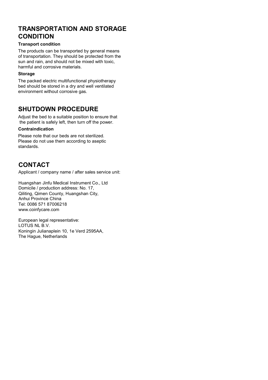## TRANSPORTATION AND STORAGE **CONDITION**

#### Transport condition

The products can be transported by general means of transportation. They should be protected from the sun and rain, and should not be mixed with toxic, harmful and corrosive materials.

#### **Storage**

The packed electric multifunctional physiotherapy bed should be stored in a dry and well ventilated environment without corrosive gas.

## SHUTDOWN PROCEDURE

Adjust the bed to a suitable position to ensure that the patient is safely left, then turn off the power.

#### Contraindication

Please note that our beds are not sterilized. Please do not use them according to aseptic standards.

## **CONTACT**

Applicant / company name / after sales service unit:

Huangshan Jinfu Medical Instrument Co., Ltd Domicile / production address: No. 17, Qiliting, Qimen County, Huangshan City, Anhui Province China Tel: 0086 571 87006218 www.coinfycare.com

European legal representative: LOTUS NL B.V. Koningin Julianaplein 10, 1e Verd 2595AA, The Hague, Netherlands